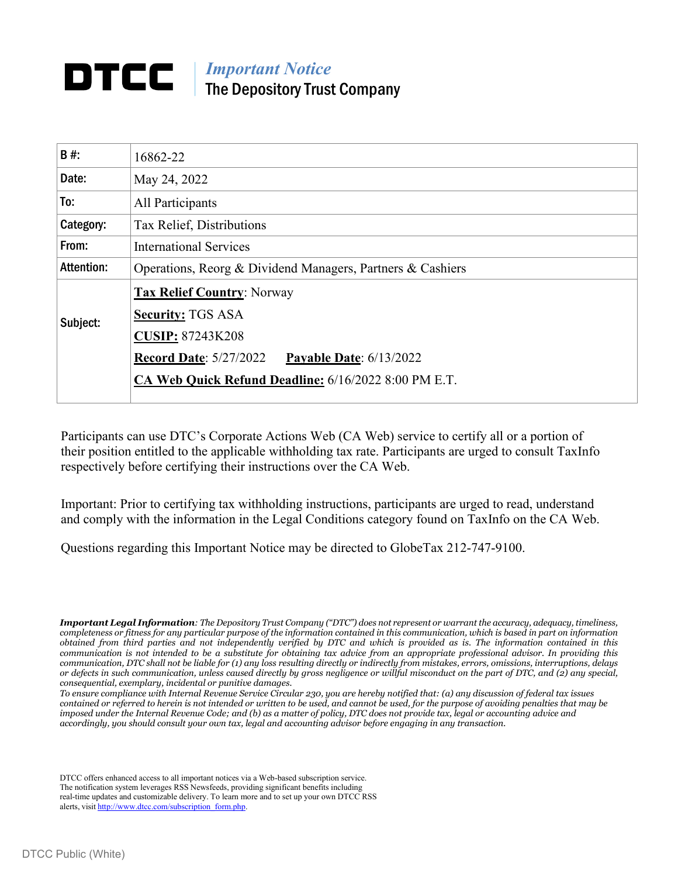# *Important Notice* DTCC The Depository Trust Company

| B#         | 16862-22                                                   |  |  |  |  |
|------------|------------------------------------------------------------|--|--|--|--|
| Date:      | May 24, 2022                                               |  |  |  |  |
| To:        | All Participants                                           |  |  |  |  |
| Category:  | Tax Relief, Distributions                                  |  |  |  |  |
| From:      | <b>International Services</b>                              |  |  |  |  |
| Attention: | Operations, Reorg & Dividend Managers, Partners & Cashiers |  |  |  |  |
| Subject:   | <b>Tax Relief Country: Norway</b>                          |  |  |  |  |
|            | <b>Security: TGS ASA</b>                                   |  |  |  |  |
|            | <b>CUSIP: 87243K208</b>                                    |  |  |  |  |
|            | <b>Record Date: 5/27/2022</b><br>Payable Date: $6/13/2022$ |  |  |  |  |
|            | CA Web Quick Refund Deadline: 6/16/2022 8:00 PM E.T.       |  |  |  |  |
|            |                                                            |  |  |  |  |

Participants can use DTC's Corporate Actions Web (CA Web) service to certify all or a portion of their position entitled to the applicable withholding tax rate. Participants are urged to consult TaxInfo respectively before certifying their instructions over the CA Web.

Important: Prior to certifying tax withholding instructions, participants are urged to read, understand and comply with the information in the Legal Conditions category found on TaxInfo on the CA Web.

Questions regarding this Important Notice may be directed to GlobeTax 212-747-9100.

DTCC offers enhanced access to all important notices via a Web-based subscription service. The notification system leverages RSS Newsfeeds, providing significant benefits including real-time updates and customizable delivery. To learn more and to set up your own DTCC RSS alerts, visit [http://www.dtcc.com/subscription\\_form.php.](http://www.dtcc.com/subscription_form.php)

*Important Legal Information: The Depository Trust Company ("DTC") does not represent or warrant the accuracy, adequacy, timeliness, completeness or fitness for any particular purpose of the information contained in this communication, which is based in part on information obtained from third parties and not independently verified by DTC and which is provided as is. The information contained in this communication is not intended to be a substitute for obtaining tax advice from an appropriate professional advisor. In providing this communication, DTC shall not be liable for (1) any loss resulting directly or indirectly from mistakes, errors, omissions, interruptions, delays or defects in such communication, unless caused directly by gross negligence or willful misconduct on the part of DTC, and (2) any special, consequential, exemplary, incidental or punitive damages.*

*To ensure compliance with Internal Revenue Service Circular 230, you are hereby notified that: (a) any discussion of federal tax issues contained or referred to herein is not intended or written to be used, and cannot be used, for the purpose of avoiding penalties that may be imposed under the Internal Revenue Code; and (b) as a matter of policy, DTC does not provide tax, legal or accounting advice and accordingly, you should consult your own tax, legal and accounting advisor before engaging in any transaction.*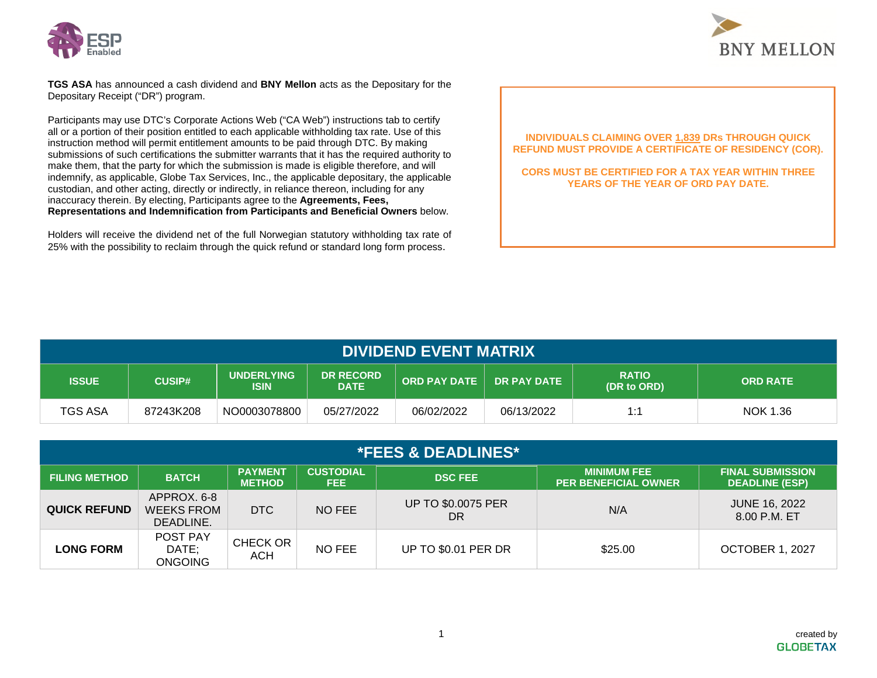



**TGS ASA** has announced a cash dividend and **BNY Mellon** acts as the Depositary for the Depositary Receipt ("DR") program.

Participants may use DTC's Corporate Actions Web ("CA Web") instructions tab to certify all or a portion of their position entitled to each applicable withholding tax rate. Use of this instruction method will permit entitlement amounts to be paid through DTC. By making submissions of such certifications the submitter warrants that it has the required authority to make them, that the party for which the submission is made is eligible therefore, and will indemnify, as applicable, Globe Tax Services, Inc., the applicable depositary, the applicable custodian, and other acting, directly or indirectly, in reliance thereon, including for any inaccuracy therein. By electing, Participants agree to the **Agreements, Fees, Representations and Indemnification from Participants and Beneficial Owners** below.

Holders will receive the dividend net of the full Norwegian statutory withholding tax rate of 25% with the possibility to reclaim through the quick refund or standard long form process.

### **INDIVIDUALS CLAIMING OVER 1,839 DRs THROUGH QUICK REFUND MUST PROVIDE A CERTIFICATE OF RESIDENCY (COR).**

**CORS MUST BE CERTIFIED FOR A TAX YEAR WITHIN THREE YEARS OF THE YEAR OF ORD PAY DATE.** 

| <b>DIVIDEND EVENT MATRIX</b> |               |                                  |                                 |                     |                    |                             |                 |
|------------------------------|---------------|----------------------------------|---------------------------------|---------------------|--------------------|-----------------------------|-----------------|
| <b>ISSUE</b>                 | <b>CUSIP#</b> | <b>UNDERLYING</b><br><b>ISIN</b> | <b>DR RECORD</b><br><b>DATE</b> | <b>ORD PAY DATE</b> | <b>DR PAY DATE</b> | <b>RATIO</b><br>(DR to ORD) | <b>ORD RATE</b> |
| <b>TGS ASA</b>               | 87243K208     | NO0003078800                     | 05/27/2022                      | 06/02/2022          | 06/13/2022         | 1:1                         | NOK 1.36        |

| <b>*FEES &amp; DEADLINES*</b> |                                               |                                 |                          |                                 |                                                   |                                                  |
|-------------------------------|-----------------------------------------------|---------------------------------|--------------------------|---------------------------------|---------------------------------------------------|--------------------------------------------------|
| <b>FILING METHOD</b>          | <b>BATCH</b>                                  | <b>PAYMENT</b><br><b>METHOD</b> | <b>CUSTODIAL</b><br>FEE. | <b>DSC FEE</b>                  | <b>MINIMUM FEE</b><br><b>PER BENEFICIAL OWNER</b> | <b>FINAL SUBMISSION</b><br><b>DEADLINE (ESP)</b> |
| <b>QUICK REFUND</b>           | APPROX. 6-8<br><b>WEEKS FROM</b><br>DEADLINE. | <b>DTC</b>                      | NO FEE                   | <b>UP TO \$0.0075 PER</b><br>DR | N/A                                               | <b>JUNE 16, 2022</b><br>8.00 P.M. ET             |
| <b>LONG FORM</b>              | POST PAY<br>DATE;<br><b>ONGOING</b>           | CHECK OR<br><b>ACH</b>          | NO FEE                   | <b>UP TO \$0.01 PER DR</b>      | \$25.00                                           | <b>OCTOBER 1, 2027</b>                           |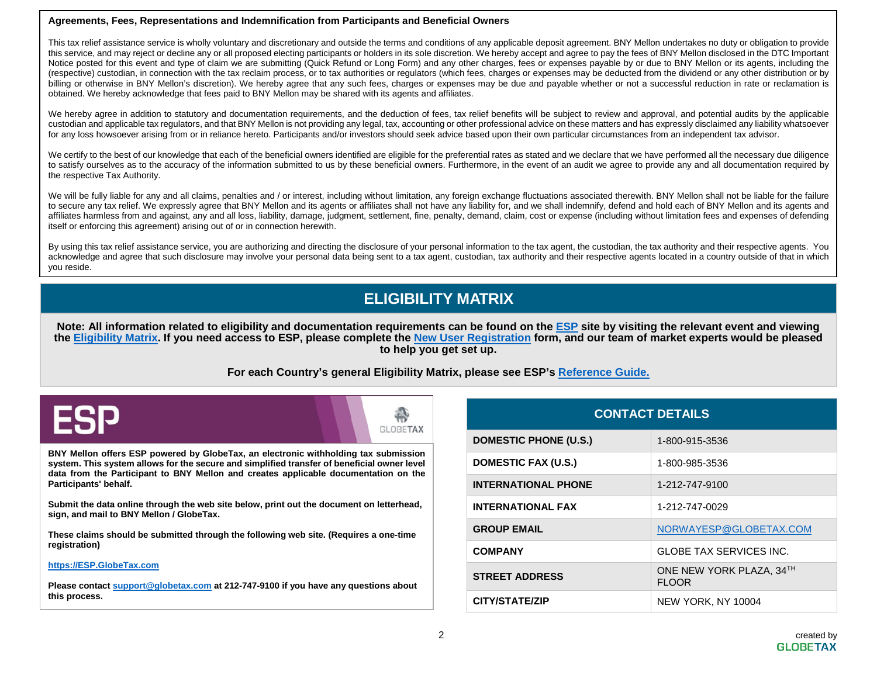#### **Agreements, Fees, Representations and Indemnification from Participants and Beneficial Owners**

This tax relief assistance service is wholly voluntary and discretionary and outside the terms and conditions of any applicable deposit agreement. BNY Mellon undertakes no duty or obligation to provide this service, and may reject or decline any or all proposed electing participants or holders in its sole discretion. We hereby accept and agree to pay the fees of BNY Mellon disclosed in the DTC Important Notice posted for this event and type of claim we are submitting (Quick Refund or Long Form) and any other charges, fees or expenses payable by or due to BNY Mellon or its agents, including the (respective) custodian, in connection with the tax reclaim process, or to tax authorities or regulators (which fees, charges or expenses may be deducted from the dividend or any other distribution or by billing or otherwise in BNY Mellon's discretion). We hereby agree that any such fees, charges or expenses may be due and payable whether or not a successful reduction in rate or reclamation is obtained. We hereby acknowledge that fees paid to BNY Mellon may be shared with its agents and affiliates.

We hereby agree in addition to statutory and documentation requirements, and the deduction of fees, tax relief benefits will be subject to review and approval, and potential audits by the applicable custodian and applicable tax regulators, and that BNY Mellon is not providing any legal, tax, accounting or other professional advice on these matters and has expressly disclaimed any liability whatsoever for any loss howsoever arising from or in reliance hereto. Participants and/or investors should seek advice based upon their own particular circumstances from an independent tax advisor.

We certify to the best of our knowledge that each of the beneficial owners identified are eligible for the preferential rates as stated and we declare that we have performed all the necessary due diligence to satisfy ourselves as to the accuracy of the information submitted to us by these beneficial owners. Furthermore, in the event of an audit we agree to provide any and all documentation required by the respective Tax Authority.

We will be fully liable for any and all claims, penalties and / or interest, including without limitation, any foreign exchange fluctuations associated therewith. BNY Mellon shall not be liable for the failure to secure any tax relief. We expressly agree that BNY Mellon and its agents or affiliates shall not have any liability for, and we shall indemnify, defend and hold each of BNY Mellon and its agents and affiliates harmless from and against, any and all loss, liability, damage, judgment, settlement, fine, penalty, demand, claim, cost or expense (including without limitation fees and expenses of defending itself or enforcing this agreement) arising out of or in connection herewith.

By using this tax relief assistance service, you are authorizing and directing the disclosure of your personal information to the tax agent, the custodian, the tax authority and their respective agents. You acknowledge and agree that such disclosure may involve your personal data being sent to a tax agent, custodian, tax authority and their respective agents located in a country outside of that in which you reside.

# **ELIGIBILITY MATRIX**

**Note: All information related to eligibility and documentation requirements can be found on the [ESP](https://esp.globetax.com/) site by visiting the relevant event and viewing the [Eligibility Matrix.](https://esp.globetax.com/reports/events) If you need access to ESP, please complete the [New User Registration](https://esp.globetax.com/register) form, and our team of market experts would be pleased to help you get set up.** 

## **For each Country's general Eligibility Matrix, please see ESP's [Reference Guide.](https://esp.globetax.com/reference-guide)**



**BNY Mellon offers ESP powered by GlobeTax, an electronic withholding tax submission system. This system allows for the secure and simplified transfer of beneficial owner level data from the Participant to BNY Mellon and creates applicable documentation on the Participants' behalf.** 

**Submit the data online through the web site below, print out the document on letterhead, sign, and mail to BNY Mellon / GlobeTax.** 

**These claims should be submitted through the following web site. (Requires a one-time registration)** 

#### **[https://ESP.GlobeTax.com](https://esp.globetax.com/)**

**Please contact [support@globetax.com](mailto:support@globetax.com) at 212-747-9100 if you have any questions about this process.**

| <b>CONTACT DETAILS</b>       |                                          |  |  |
|------------------------------|------------------------------------------|--|--|
| <b>DOMESTIC PHONE (U.S.)</b> | 1-800-915-3536                           |  |  |
| DOMESTIC FAX (U.S.)          | 1-800-985-3536                           |  |  |
| <b>INTERNATIONAL PHONE</b>   | 1-212-747-9100                           |  |  |
| <b>INTERNATIONAL FAX</b>     | 1-212-747-0029                           |  |  |
| <b>GROUP EMAIL</b>           | NORWAYESP@GLOBETAX.COM                   |  |  |
| <b>COMPANY</b>               | GLOBE TAX SERVICES INC.                  |  |  |
| <b>STREET ADDRESS</b>        | ONE NEW YORK PLAZA, 34TH<br><b>FLOOR</b> |  |  |
| <b>CITY/STATE/ZIP</b>        | NEW YORK, NY 10004                       |  |  |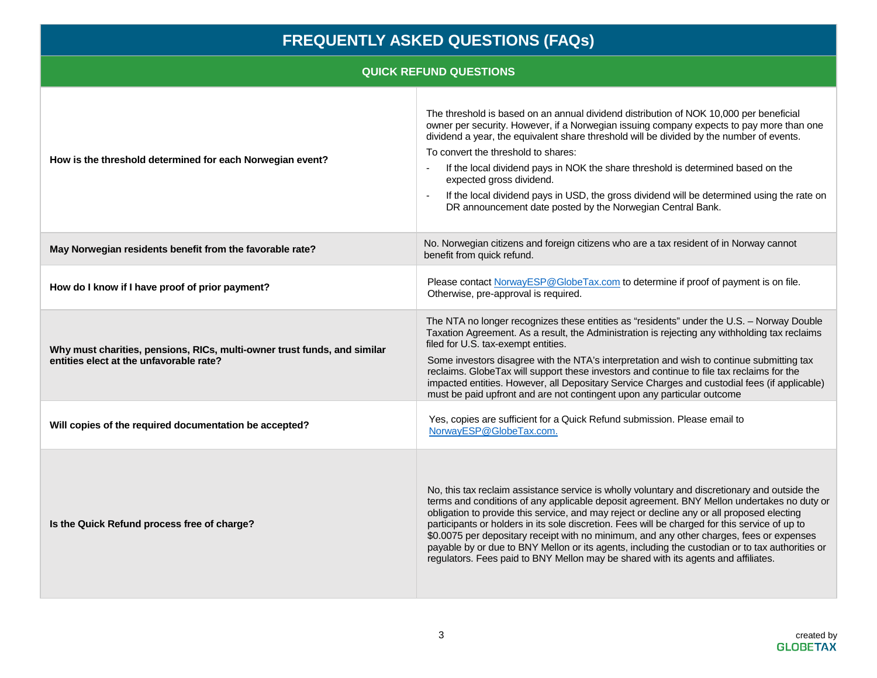# **FREQUENTLY ASKED QUESTIONS (FAQs)**

# **QUICK REFUND QUESTIONS**

| How is the threshold determined for each Norwegian event?                                                           | The threshold is based on an annual dividend distribution of NOK 10,000 per beneficial<br>owner per security. However, if a Norwegian issuing company expects to pay more than one<br>dividend a year, the equivalent share threshold will be divided by the number of events.<br>To convert the threshold to shares:<br>If the local dividend pays in NOK the share threshold is determined based on the<br>expected gross dividend.<br>If the local dividend pays in USD, the gross dividend will be determined using the rate on<br>DR announcement date posted by the Norwegian Central Bank.                                                                               |
|---------------------------------------------------------------------------------------------------------------------|---------------------------------------------------------------------------------------------------------------------------------------------------------------------------------------------------------------------------------------------------------------------------------------------------------------------------------------------------------------------------------------------------------------------------------------------------------------------------------------------------------------------------------------------------------------------------------------------------------------------------------------------------------------------------------|
| May Norwegian residents benefit from the favorable rate?                                                            | No. Norwegian citizens and foreign citizens who are a tax resident of in Norway cannot<br>benefit from quick refund.                                                                                                                                                                                                                                                                                                                                                                                                                                                                                                                                                            |
| How do I know if I have proof of prior payment?                                                                     | Please contact NorwayESP@GlobeTax.com to determine if proof of payment is on file.<br>Otherwise, pre-approval is required.                                                                                                                                                                                                                                                                                                                                                                                                                                                                                                                                                      |
| Why must charities, pensions, RICs, multi-owner trust funds, and similar<br>entities elect at the unfavorable rate? | The NTA no longer recognizes these entities as "residents" under the U.S. - Norway Double<br>Taxation Agreement. As a result, the Administration is rejecting any withholding tax reclaims<br>filed for U.S. tax-exempt entities.<br>Some investors disagree with the NTA's interpretation and wish to continue submitting tax<br>reclaims. GlobeTax will support these investors and continue to file tax reclaims for the<br>impacted entities. However, all Depositary Service Charges and custodial fees (if applicable)<br>must be paid upfront and are not contingent upon any particular outcome                                                                         |
| Will copies of the required documentation be accepted?                                                              | Yes, copies are sufficient for a Quick Refund submission. Please email to<br>NorwayESP@GlobeTax.com.                                                                                                                                                                                                                                                                                                                                                                                                                                                                                                                                                                            |
| Is the Quick Refund process free of charge?                                                                         | No, this tax reclaim assistance service is wholly voluntary and discretionary and outside the<br>terms and conditions of any applicable deposit agreement. BNY Mellon undertakes no duty or<br>obligation to provide this service, and may reject or decline any or all proposed electing<br>participants or holders in its sole discretion. Fees will be charged for this service of up to<br>\$0.0075 per depositary receipt with no minimum, and any other charges, fees or expenses<br>payable by or due to BNY Mellon or its agents, including the custodian or to tax authorities or<br>regulators. Fees paid to BNY Mellon may be shared with its agents and affiliates. |